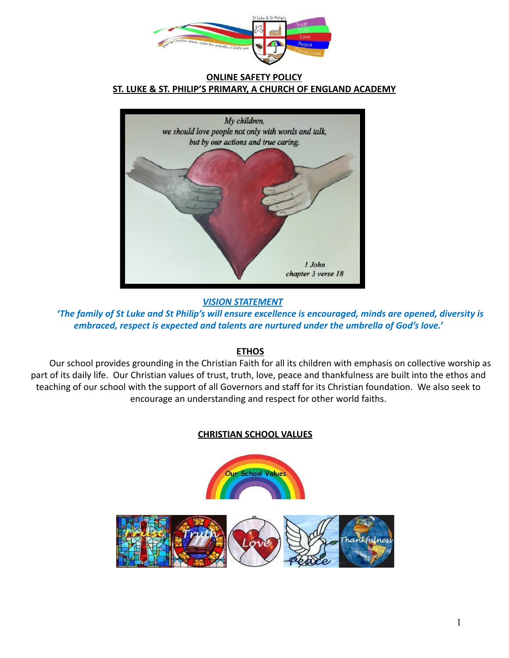

#### **ONLINE SAFETY POLICY ST. LUKE & ST. PHILIP'S PRIMARY, A CHURCH OF ENGLAND ACADEMY**



*VISION STATEMENT*

*'The family of St Luke and St Philip's will ensure excellence is encouraged, minds are opened, diversity is embraced, respect is expected and talents are nurtured under the umbrella of God's love.'*

## **ETHOS**

Our school provides grounding in the Christian Faith for all its children with emphasis on collective worship as part of its daily life. Our Christian values of trust, truth, love, peace and thankfulness are built into the ethos and teaching of our school with the support of all Governors and staff for its Christian foundation. We also seek to encourage an understanding and respect for other world faiths.

# **CHRISTIAN SCHOOL VALUES**

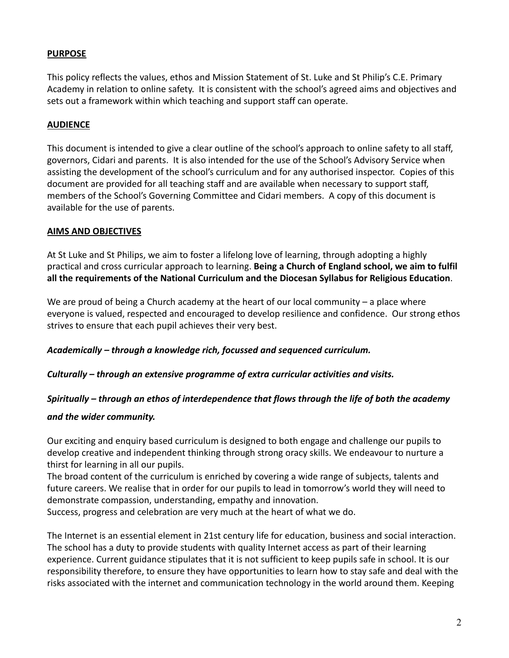#### **PURPOSE**

This policy reflects the values, ethos and Mission Statement of St. Luke and St Philip's C.E. Primary Academy in relation to online safety. It is consistent with the school's agreed aims and objectives and sets out a framework within which teaching and support staff can operate.

#### **AUDIENCE**

This document is intended to give a clear outline of the school's approach to online safety to all staff, governors, Cidari and parents. It is also intended for the use of the School's Advisory Service when assisting the development of the school's curriculum and for any authorised inspector. Copies of this document are provided for all teaching staff and are available when necessary to support staff, members of the School's Governing Committee and Cidari members. A copy of this document is available for the use of parents.

#### **AIMS AND OBJECTIVES**

At St Luke and St Philips, we aim to foster a lifelong love of learning, through adopting a highly practical and cross curricular approach to learning. **Being a Church of England school, we aim to fulfil all the requirements of the National Curriculum and the Diocesan Syllabus for Religious Education**.

We are proud of being a Church academy at the heart of our local community – a place where everyone is valued, respected and encouraged to develop resilience and confidence. Our strong ethos strives to ensure that each pupil achieves their very best.

*Academically – through a knowledge rich, focussed and sequenced curriculum.*

*Culturally – through an extensive programme of extra curricular activities and visits.*

## *Spiritually – through an ethos of interdependence that flows through the life of both the academy*

#### *and the wider community.*

Our exciting and enquiry based curriculum is designed to both engage and challenge our pupils to develop creative and independent thinking through strong oracy skills. We endeavour to nurture a thirst for learning in all our pupils.

The broad content of the curriculum is enriched by covering a wide range of subjects, talents and future careers. We realise that in order for our pupils to lead in tomorrow's world they will need to demonstrate compassion, understanding, empathy and innovation.

Success, progress and celebration are very much at the heart of what we do.

The Internet is an essential element in 21st century life for education, business and social interaction. The school has a duty to provide students with quality Internet access as part of their learning experience. Current guidance stipulates that it is not sufficient to keep pupils safe in school. It is our responsibility therefore, to ensure they have opportunities to learn how to stay safe and deal with the risks associated with the internet and communication technology in the world around them. Keeping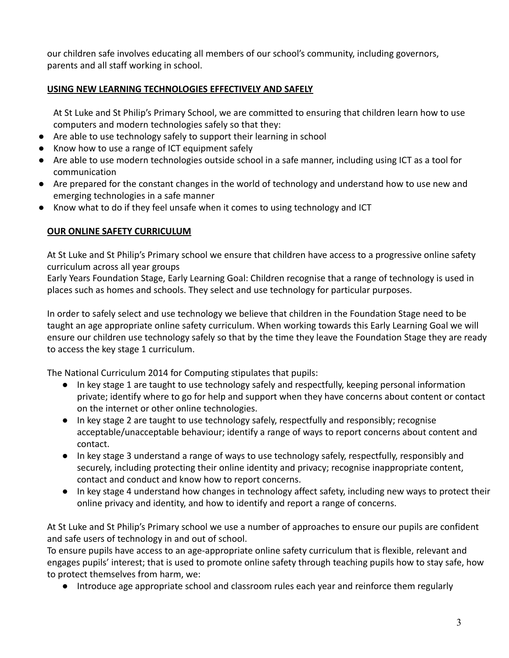our children safe involves educating all members of our school's community, including governors, parents and all staff working in school.

# **USING NEW LEARNING TECHNOLOGIES EFFECTIVELY AND SAFELY**

At St Luke and St Philip's Primary School, we are committed to ensuring that children learn how to use computers and modern technologies safely so that they:

- Are able to use technology safely to support their learning in school
- Know how to use a range of ICT equipment safely
- Are able to use modern technologies outside school in a safe manner, including using ICT as a tool for communication
- Are prepared for the constant changes in the world of technology and understand how to use new and emerging technologies in a safe manner
- Know what to do if they feel unsafe when it comes to using technology and ICT

## **OUR ONLINE SAFETY CURRICULUM**

At St Luke and St Philip's Primary school we ensure that children have access to a progressive online safety curriculum across all year groups

Early Years Foundation Stage, Early Learning Goal: Children recognise that a range of technology is used in places such as homes and schools. They select and use technology for particular purposes.

In order to safely select and use technology we believe that children in the Foundation Stage need to be taught an age appropriate online safety curriculum. When working towards this Early Learning Goal we will ensure our children use technology safely so that by the time they leave the Foundation Stage they are ready to access the key stage 1 curriculum.

The National Curriculum 2014 for Computing stipulates that pupils:

- In key stage 1 are taught to use technology safely and respectfully, keeping personal information private; identify where to go for help and support when they have concerns about content or contact on the internet or other online technologies.
- In key stage 2 are taught to use technology safely, respectfully and responsibly; recognise acceptable/unacceptable behaviour; identify a range of ways to report concerns about content and contact.
- In key stage 3 understand a range of ways to use technology safely, respectfully, responsibly and securely, including protecting their online identity and privacy; recognise inappropriate content, contact and conduct and know how to report concerns.
- In key stage 4 understand how changes in technology affect safety, including new ways to protect their online privacy and identity, and how to identify and report a range of concerns.

At St Luke and St Philip's Primary school we use a number of approaches to ensure our pupils are confident and safe users of technology in and out of school.

To ensure pupils have access to an age-appropriate online safety curriculum that is flexible, relevant and engages pupils' interest; that is used to promote online safety through teaching pupils how to stay safe, how to protect themselves from harm, we:

● Introduce age appropriate school and classroom rules each year and reinforce them regularly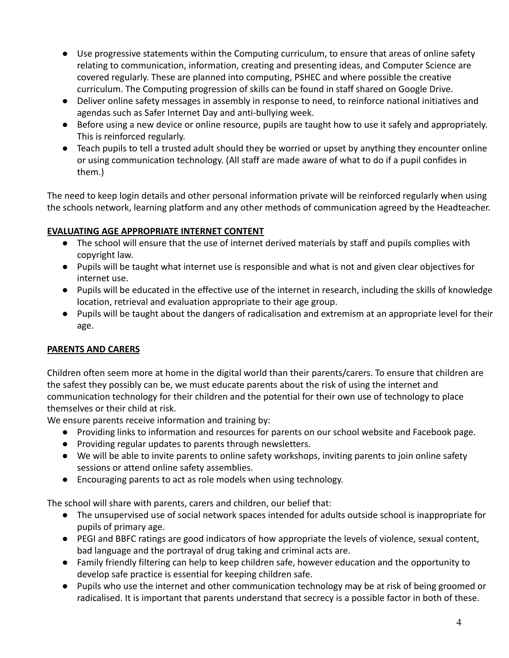- Use progressive statements within the Computing curriculum, to ensure that areas of online safety relating to communication, information, creating and presenting ideas, and Computer Science are covered regularly. These are planned into computing, PSHEC and where possible the creative curriculum. The Computing progression of skills can be found in staff shared on Google Drive.
- Deliver online safety messages in assembly in response to need, to reinforce national initiatives and agendas such as Safer Internet Day and anti-bullying week.
- Before using a new device or online resource, pupils are taught how to use it safely and appropriately. This is reinforced regularly.
- Teach pupils to tell a trusted adult should they be worried or upset by anything they encounter online or using communication technology. (All staff are made aware of what to do if a pupil confides in them.)

The need to keep login details and other personal information private will be reinforced regularly when using the schools network, learning platform and any other methods of communication agreed by the Headteacher.

## **EVALUATING AGE APPROPRIATE INTERNET CONTENT**

- The school will ensure that the use of internet derived materials by staff and pupils complies with copyright law.
- Pupils will be taught what internet use is responsible and what is not and given clear objectives for internet use.
- Pupils will be educated in the effective use of the internet in research, including the skills of knowledge location, retrieval and evaluation appropriate to their age group.
- Pupils will be taught about the dangers of radicalisation and extremism at an appropriate level for their age.

# **PARENTS AND CARERS**

Children often seem more at home in the digital world than their parents/carers. To ensure that children are the safest they possibly can be, we must educate parents about the risk of using the internet and communication technology for their children and the potential for their own use of technology to place themselves or their child at risk.

We ensure parents receive information and training by:

- Providing links to information and resources for parents on our school website and Facebook page.
- Providing regular updates to parents through newsletters.
- We will be able to invite parents to online safety workshops, inviting parents to join online safety sessions or attend online safety assemblies.
- Encouraging parents to act as role models when using technology.

The school will share with parents, carers and children, our belief that:

- The unsupervised use of social network spaces intended for adults outside school is inappropriate for pupils of primary age.
- PEGI and BBFC ratings are good indicators of how appropriate the levels of violence, sexual content, bad language and the portrayal of drug taking and criminal acts are.
- Family friendly filtering can help to keep children safe, however education and the opportunity to develop safe practice is essential for keeping children safe.
- Pupils who use the internet and other communication technology may be at risk of being groomed or radicalised. It is important that parents understand that secrecy is a possible factor in both of these.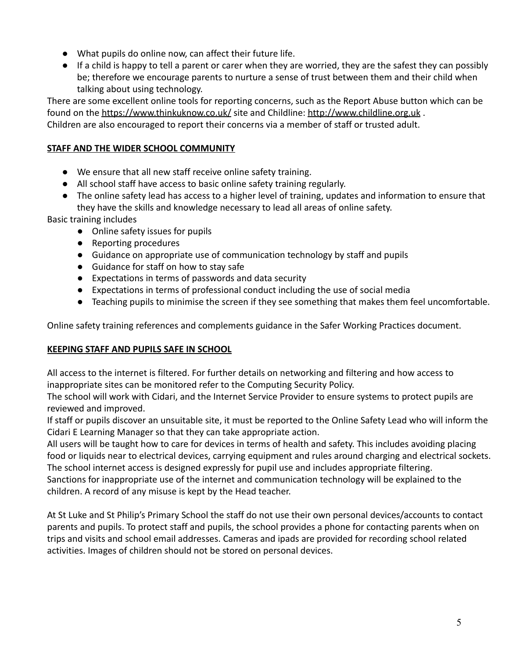- What pupils do online now, can affect their future life.
- If a child is happy to tell a parent or carer when they are worried, they are the safest they can possibly be; therefore we encourage parents to nurture a sense of trust between them and their child when talking about using technology.

There are some excellent online tools for reporting concerns, such as the Report Abuse button which can be found on the <https://www.thinkuknow.co.uk/> site and Childline: <http://www.childline.org.uk>. Children are also encouraged to report their concerns via a member of staff or trusted adult.

# **STAFF AND THE WIDER SCHOOL COMMUNITY**

- We ensure that all new staff receive online safety training.
- All school staff have access to basic online safety training regularly.
- The online safety lead has access to a higher level of training, updates and information to ensure that they have the skills and knowledge necessary to lead all areas of online safety.

Basic training includes

- Online safety issues for pupils
- Reporting procedures
- Guidance on appropriate use of communication technology by staff and pupils
- Guidance for staff on how to stay safe
- Expectations in terms of passwords and data security
- Expectations in terms of professional conduct including the use of social media
- Teaching pupils to minimise the screen if they see something that makes them feel uncomfortable.

Online safety training references and complements guidance in the Safer Working Practices document.

## **KEEPING STAFF AND PUPILS SAFE IN SCHOOL**

All access to the internet is filtered. For further details on networking and filtering and how access to inappropriate sites can be monitored refer to the Computing Security Policy.

The school will work with Cidari, and the Internet Service Provider to ensure systems to protect pupils are reviewed and improved.

If staff or pupils discover an unsuitable site, it must be reported to the Online Safety Lead who will inform the Cidari E Learning Manager so that they can take appropriate action.

All users will be taught how to care for devices in terms of health and safety. This includes avoiding placing food or liquids near to electrical devices, carrying equipment and rules around charging and electrical sockets. The school internet access is designed expressly for pupil use and includes appropriate filtering.

Sanctions for inappropriate use of the internet and communication technology will be explained to the children. A record of any misuse is kept by the Head teacher.

At St Luke and St Philip's Primary School the staff do not use their own personal devices/accounts to contact parents and pupils. To protect staff and pupils, the school provides a phone for contacting parents when on trips and visits and school email addresses. Cameras and ipads are provided for recording school related activities. Images of children should not be stored on personal devices.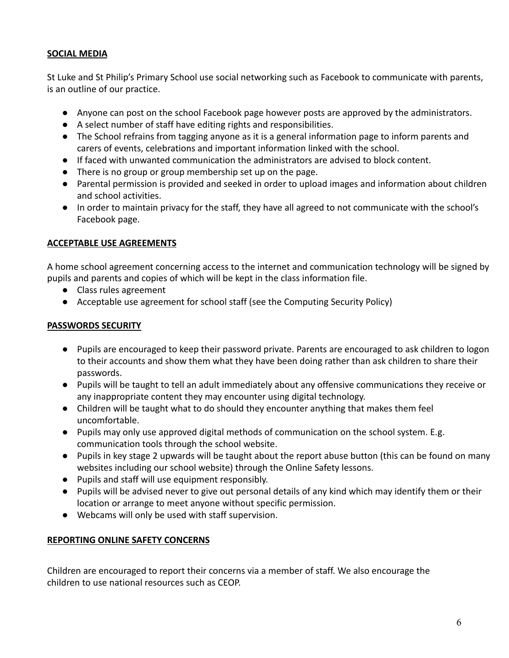#### **SOCIAL MEDIA**

St Luke and St Philip's Primary School use social networking such as Facebook to communicate with parents, is an outline of our practice.

- Anyone can post on the school Facebook page however posts are approved by the administrators.
- A select number of staff have editing rights and responsibilities.
- The School refrains from tagging anyone as it is a general information page to inform parents and carers of events, celebrations and important information linked with the school.
- If faced with unwanted communication the administrators are advised to block content.
- There is no group or group membership set up on the page.
- Parental permission is provided and seeked in order to upload images and information about children and school activities.
- In order to maintain privacy for the staff, they have all agreed to not communicate with the school's Facebook page.

#### **ACCEPTABLE USE AGREEMENTS**

A home school agreement concerning access to the internet and communication technology will be signed by pupils and parents and copies of which will be kept in the class information file.

- Class rules agreement
- Acceptable use agreement for school staff (see the Computing Security Policy)

#### **PASSWORDS SECURITY**

- Pupils are encouraged to keep their password private. Parents are encouraged to ask children to logon to their accounts and show them what they have been doing rather than ask children to share their passwords.
- Pupils will be taught to tell an adult immediately about any offensive communications they receive or any inappropriate content they may encounter using digital technology.
- Children will be taught what to do should they encounter anything that makes them feel uncomfortable.
- Pupils may only use approved digital methods of communication on the school system. E.g. communication tools through the school website.
- Pupils in key stage 2 upwards will be taught about the report abuse button (this can be found on many websites including our school website) through the Online Safety lessons.
- Pupils and staff will use equipment responsibly.
- Pupils will be advised never to give out personal details of any kind which may identify them or their location or arrange to meet anyone without specific permission.
- Webcams will only be used with staff supervision.

#### **REPORTING ONLINE SAFETY CONCERNS**

Children are encouraged to report their concerns via a member of staff. We also encourage the children to use national resources such as CEOP.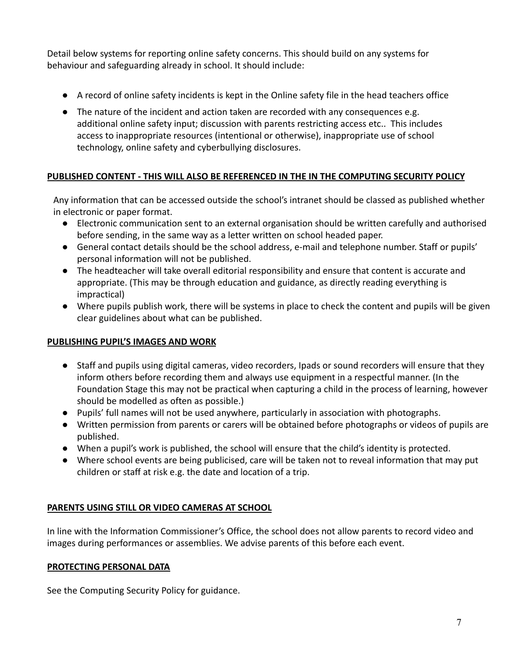Detail below systems for reporting online safety concerns. This should build on any systems for behaviour and safeguarding already in school. It should include:

- A record of online safety incidents is kept in the Online safety file in the head teachers office
- The nature of the incident and action taken are recorded with any consequences e.g. additional online safety input; discussion with parents restricting access etc.. This includes access to inappropriate resources (intentional or otherwise), inappropriate use of school technology, online safety and cyberbullying disclosures.

## **PUBLISHED CONTENT - THIS WILL ALSO BE REFERENCED IN THE IN THE COMPUTING SECURITY POLICY**

Any information that can be accessed outside the school's intranet should be classed as published whether in electronic or paper format.

- Electronic communication sent to an external organisation should be written carefully and authorised before sending, in the same way as a letter written on school headed paper.
- General contact details should be the school address, e-mail and telephone number. Staff or pupils' personal information will not be published.
- The headteacher will take overall editorial responsibility and ensure that content is accurate and appropriate. (This may be through education and guidance, as directly reading everything is impractical)
- Where pupils publish work, there will be systems in place to check the content and pupils will be given clear guidelines about what can be published.

## **PUBLISHING PUPIL'S IMAGES AND WORK**

- Staff and pupils using digital cameras, video recorders, Ipads or sound recorders will ensure that they inform others before recording them and always use equipment in a respectful manner. (In the Foundation Stage this may not be practical when capturing a child in the process of learning, however should be modelled as often as possible.)
- **●** Pupils' full names will not be used anywhere, particularly in association with photographs.
- **●** Written permission from parents or carers will be obtained before photographs or videos of pupils are published.
- **●** When a pupil's work is published, the school will ensure that the child's identity is protected.
- **●** Where school events are being publicised, care will be taken not to reveal information that may put children or staff at risk e.g. the date and location of a trip.

## **PARENTS USING STILL OR VIDEO CAMERAS AT SCHOOL**

In line with the Information Commissioner's Office, the school does not allow parents to record video and images during performances or assemblies. We advise parents of this before each event.

## **PROTECTING PERSONAL DATA**

See the Computing Security Policy for guidance.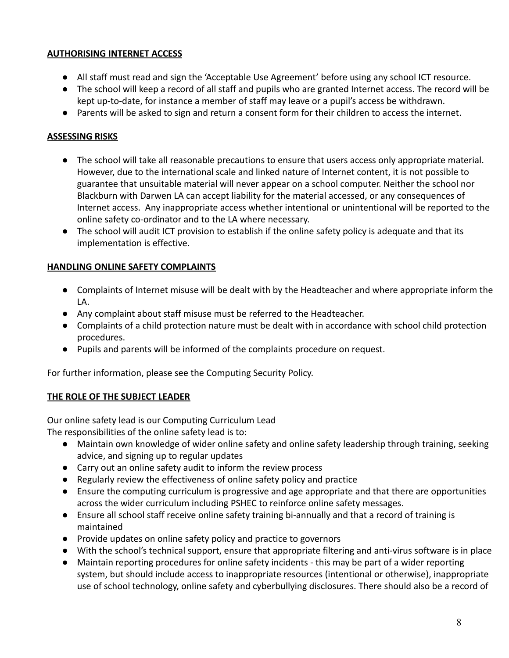#### **AUTHORISING INTERNET ACCESS**

- All staff must read and sign the 'Acceptable Use Agreement' before using any school ICT resource.
- The school will keep a record of all staff and pupils who are granted Internet access. The record will be kept up-to-date, for instance a member of staff may leave or a pupil's access be withdrawn.
- Parents will be asked to sign and return a consent form for their children to access the internet.

## **ASSESSING RISKS**

- The school will take all reasonable precautions to ensure that users access only appropriate material. However, due to the international scale and linked nature of Internet content, it is not possible to guarantee that unsuitable material will never appear on a school computer. Neither the school nor Blackburn with Darwen LA can accept liability for the material accessed, or any consequences of Internet access. Any inappropriate access whether intentional or unintentional will be reported to the online safety co-ordinator and to the LA where necessary.
- The school will audit ICT provision to establish if the online safety policy is adequate and that its implementation is effective.

## **HANDLING ONLINE SAFETY COMPLAINTS**

- Complaints of Internet misuse will be dealt with by the Headteacher and where appropriate inform the LA.
- Any complaint about staff misuse must be referred to the Headteacher.
- Complaints of a child protection nature must be dealt with in accordance with school child protection procedures.
- Pupils and parents will be informed of the complaints procedure on request.

For further information, please see the Computing Security Policy.

# **THE ROLE OF THE SUBJECT LEADER**

Our online safety lead is our Computing Curriculum Lead

The responsibilities of the online safety lead is to:

- Maintain own knowledge of wider online safety and online safety leadership through training, seeking advice, and signing up to regular updates
- Carry out an online safety audit to inform the review process
- Regularly review the effectiveness of online safety policy and practice
- Ensure the computing curriculum is progressive and age appropriate and that there are opportunities across the wider curriculum including PSHEC to reinforce online safety messages.
- Ensure all school staff receive online safety training bi-annually and that a record of training is maintained
- Provide updates on online safety policy and practice to governors
- With the school's technical support, ensure that appropriate filtering and anti-virus software is in place
- Maintain reporting procedures for online safety incidents this may be part of a wider reporting system, but should include access to inappropriate resources (intentional or otherwise), inappropriate use of school technology, online safety and cyberbullying disclosures. There should also be a record of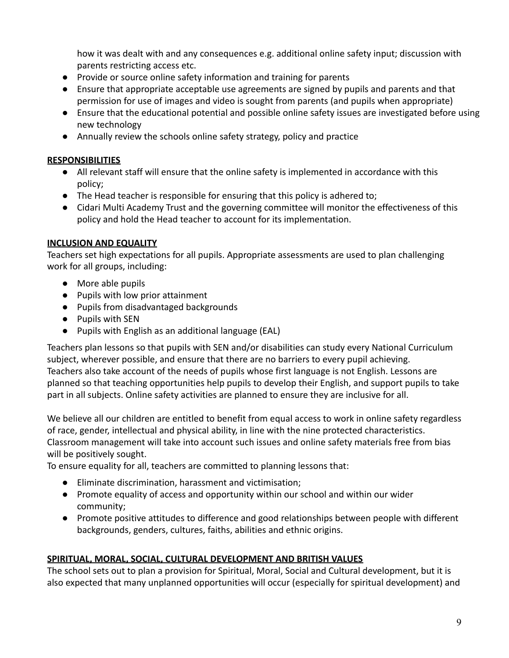how it was dealt with and any consequences e.g. additional online safety input; discussion with parents restricting access etc.

- Provide or source online safety information and training for parents
- Ensure that appropriate acceptable use agreements are signed by pupils and parents and that permission for use of images and video is sought from parents (and pupils when appropriate)
- Ensure that the educational potential and possible online safety issues are investigated before using new technology
- Annually review the schools online safety strategy, policy and practice

## **RESPONSIBILITIES**

- All relevant staff will ensure that the online safety is implemented in accordance with this policy;
- The Head teacher is responsible for ensuring that this policy is adhered to;
- Cidari Multi Academy Trust and the governing committee will monitor the effectiveness of this policy and hold the Head teacher to account for its implementation.

## **INCLUSION AND EQUALITY**

Teachers set high expectations for all pupils. Appropriate assessments are used to plan challenging work for all groups, including:

- More able pupils
- Pupils with low prior attainment
- Pupils from disadvantaged backgrounds
- Pupils with SEN
- Pupils with English as an additional language (EAL)

Teachers plan lessons so that pupils with SEN and/or disabilities can study every National Curriculum subject, wherever possible, and ensure that there are no barriers to every pupil achieving. Teachers also take account of the needs of pupils whose first language is not English. Lessons are planned so that teaching opportunities help pupils to develop their English, and support pupils to take part in all subjects. Online safety activities are planned to ensure they are inclusive for all.

We believe all our children are entitled to benefit from equal access to work in online safety regardless of race, gender, intellectual and physical ability, in line with the nine protected characteristics. Classroom management will take into account such issues and online safety materials free from bias will be positively sought.

To ensure equality for all, teachers are committed to planning lessons that:

- Eliminate discrimination, harassment and victimisation;
- Promote equality of access and opportunity within our school and within our wider community;
- Promote positive attitudes to difference and good relationships between people with different backgrounds, genders, cultures, faiths, abilities and ethnic origins.

## **SPIRITUAL, MORAL, SOCIAL, CULTURAL DEVELOPMENT AND BRITISH VALUES**

The school sets out to plan a provision for Spiritual, Moral, Social and Cultural development, but it is also expected that many unplanned opportunities will occur (especially for spiritual development) and